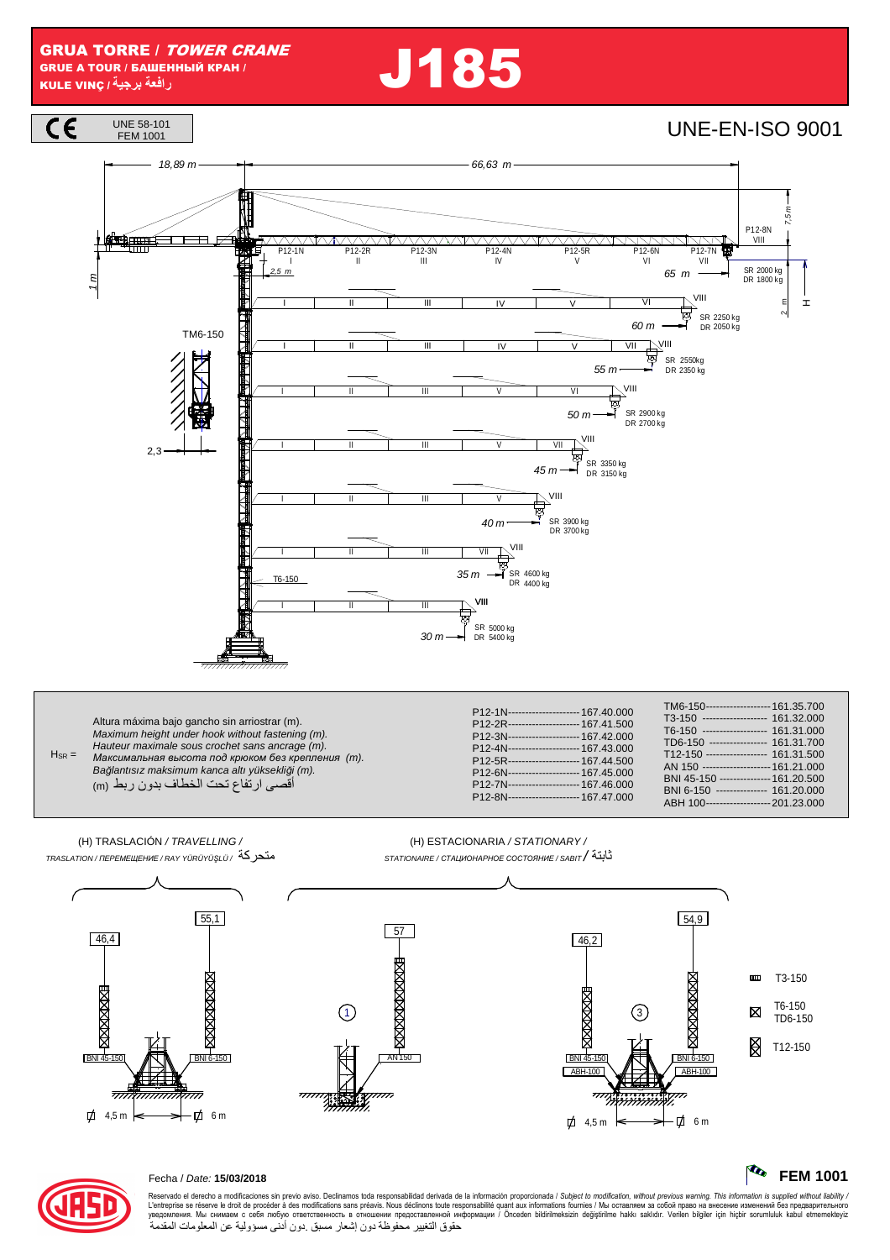**J185** 





## Fecha / Date: 15/03/2018

Reservado el derecho a modificaciones sin previo aviso. Declinamos toda responsabilidad derivada de la información proporcionada / Subject to modification, without previous warning. This information is supplied without li حقوق التغيير محفوظة دون إشعار مسبق دون أدنى مسؤولية عن المعلومات المقدمة

**The** 

**FEM 1001**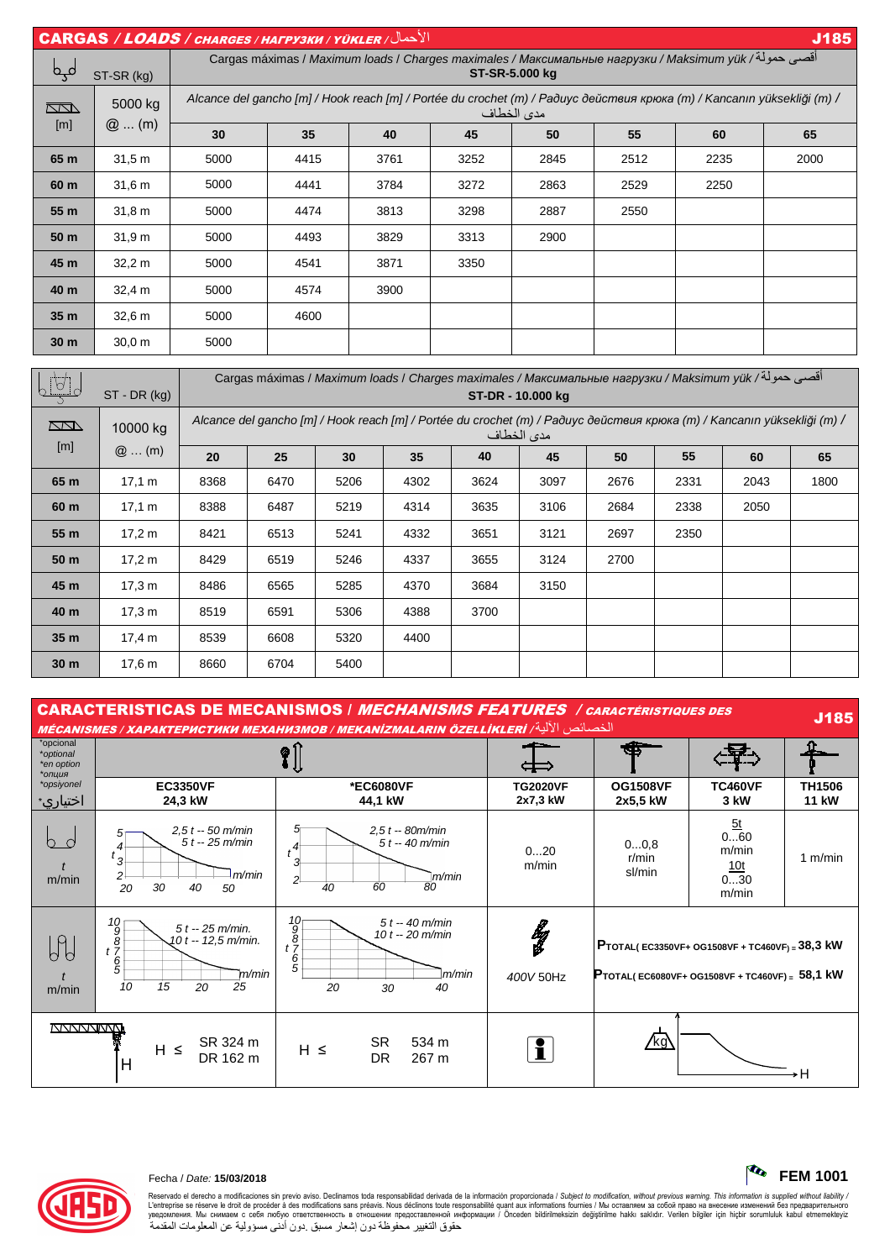CARGAS / LOADS / CHARGES / НАГРУЗКИ / YÜKLER / ل في الأحد التي يتم المناطق المناطق المناطق المناطق المناطق المناطق المناطق المناطق المناطق المناطق الأحد Cargas máximas / Maximum loads / Charges maximales / *Максимальные нагрузки* / Maksimum yük / & 12أ ل*ک*ے st-sk (kg) **ST-SR-5.000 kg**  Alcance del gancho [m] / Hook reach [m] / Portée du crochet (m) / *Радиус действия крюка* (m) / Kancanın yüksekli*ğ*i (m) / 5000 kg  $\sqrt{2}$ مدى الخطاف [m] @ ... (m) **30 35 40 45 50 55 60 65 65 m** | 31,5 m | 5000 | 4415 | 3761 | 3252 | 2845 | 2512 | 2235 | 2000 **60 m** | 31,6 m | 5000 | 4441 | 3784 | 3272 | 2863 | 2529 | 2250 | ——— **55 m** | 31,8 m | 5000 | 4474 | 3813 | 3298 | 2887 | 2550 | ——— | ——— **50 m** | 31,9 m | 5000 | 4493 | 3829 | 3313 | 2900 | ——— | ——— | ——— **45 m** | 32,2 m | 5000 | 4541 | 3871 | 3350 | ——— | ——— | ——— | ——— **40 m** | 32,4 m | 5000 | 4574 | 3900 | ——— | ——— | ——— | ——— | ——— **35 m** | 32,6 m | 5000 | 4600 | ——— | ——— | ——— | ——— | ——— | ——— **30 m** | 30,0 m | 5000 | ——— | ——— | ——— | ——— | ——— | ——— | ———

| $\overline{\rho_{\rm A}}$ | ST - DR (kg)        | أقصى حمولة/ Cargas máximas / Maximum loads / Charges maximales / Максимальные нагрузки / Maksimum yük<br>ST-DR - 10.000 kg            |      |      |      |      |      |      |      |      |      |
|---------------------------|---------------------|---------------------------------------------------------------------------------------------------------------------------------------|------|------|------|------|------|------|------|------|------|
| $\Box$                    | 10000 kg<br>$@$ (m) | Alcance del gancho [m] / Hook reach [m] / Portée du crochet (m) / Радиус действия крюка (m) / Kancanın yüksekliği (m) /<br>مدى الخطاف |      |      |      |      |      |      |      |      |      |
| [m]                       |                     | 20                                                                                                                                    | 25   | 30   | 35   | 40   | 45   | 50   | 55   | 60   | 65   |
| 65 m                      | 17,1 m              | 8368                                                                                                                                  | 6470 | 5206 | 4302 | 3624 | 3097 | 2676 | 2331 | 2043 | 1800 |
| 60 m                      | 17,1 m              | 8388                                                                                                                                  | 6487 | 5219 | 4314 | 3635 | 3106 | 2684 | 2338 | 2050 |      |
| 55 m                      | 17.2 m              | 8421                                                                                                                                  | 6513 | 5241 | 4332 | 3651 | 3121 | 2697 | 2350 |      |      |
| 50 m                      | 17.2 m              | 8429                                                                                                                                  | 6519 | 5246 | 4337 | 3655 | 3124 | 2700 |      |      |      |
| 45 m                      | 17.3 m              | 8486                                                                                                                                  | 6565 | 5285 | 4370 | 3684 | 3150 |      |      |      |      |
| 40 m                      | 17,3 m              | 8519                                                                                                                                  | 6591 | 5306 | 4388 | 3700 |      |      |      |      |      |
| 35 <sub>m</sub>           | 17,4 m              | 8539                                                                                                                                  | 6608 | 5320 | 4400 |      |      |      |      |      |      |
| 30 <sub>m</sub>           | 17.6 <sub>m</sub>   | 8660                                                                                                                                  | 6704 | 5400 |      |      |      |      |      |      |      |

CARACTERISTICAS DE MECANISMOS | *MECHANISMS FEATURES | caractéristiques des* J185<br>MÉCANISMES / XAPAKTEPUCTUKU MEXAHU3MOB / MEKANIZMALARIN ÖZELLIKLERI <sup>| ال</sup>خصائص الأللية /

| الخصائص الألية/ MÉCANISMES / ХАРАКТЕРИСТИКИ МЕХАНИЗМОВ / МЕКАNIZMALARIN ÖZELLİKLERİ |                                                                                                          |                                                                                                                                      |                             |                                                                                                         |                                                  |                               |  |  |
|-------------------------------------------------------------------------------------|----------------------------------------------------------------------------------------------------------|--------------------------------------------------------------------------------------------------------------------------------------|-----------------------------|---------------------------------------------------------------------------------------------------------|--------------------------------------------------|-------------------------------|--|--|
| *opcional<br>*optional<br>*en option<br>*опция                                      |                                                                                                          | Ø<br>$\overline{1}$                                                                                                                  |                             |                                                                                                         |                                                  |                               |  |  |
| *opsiyonel<br>اختياري∗                                                              | <b>EC3350VF</b><br>24,3 kW                                                                               | *EC6080VF<br>44,1 kW                                                                                                                 | <b>TG2020VF</b><br>2x7,3 kW | <b>OG1508VF</b><br>2x5,5 kW                                                                             | <b>TC460VF</b><br>3 kW                           | <b>TH1506</b><br><b>11 kW</b> |  |  |
| - 0<br>h.<br>m/min                                                                  | $2.5t - 50$ m/min<br>$5t - 25$ m/min<br>$t\frac{4}{3}$<br>m/min<br>$\mathbf{2}$<br>20<br>30<br>50<br>40  | $2,5t - 80m/min$<br>$5t - 40$ m/min<br>$t^{4^+}$<br>$\mathbf{3}$<br>m/min<br>2 <sup>1</sup><br>60<br>40<br>80                        | 020<br>m/min                | 00,8<br>r/min<br>sl/min                                                                                 | 5t<br>060<br>m/min<br><u>10t</u><br>030<br>m/min | 1 $m/min$                     |  |  |
| $\mathcal{G}$<br>m/min                                                              | $^{10}_{98}$<br>$^{17}_{65}$<br>$5t - 25$ m/min.<br>10 t -- 12,5 m/min.<br>m/min<br>15<br>25<br>10<br>20 | $\begin{array}{c}\n10 \\ 9 \\ 8 \\ t\n\end{array}$<br>$5t - 40$ m/min<br>10 $t - 20$ m/min<br>$rac{6}{5}$<br>m/min<br>40<br>20<br>30 | łg<br>400V 50Hz             | <b>PTOTAL(EC3350VF+ OG1508VF + TC460VF) = 38,3 kW</b><br>PTOTAL(EC6080VF+ OG1508VF + TC460VF) = 58,1 kW |                                                  |                               |  |  |
| <b>MANANANINA</b>                                                                   | SR 324 m<br>$H \leq$<br>DR 162 m<br>H                                                                    | <b>SR</b><br>534 m<br>$H \leq$<br><b>DR</b><br>267 m                                                                                 | i                           | <u>/kg\</u>                                                                                             |                                                  | ۶H                            |  |  |



## Fecha / Date: **15/03/2018 FEM 1001**

Reservado el derecho a modificaciones sin previo aviso. Declinamos toda responsabilidad derivada de la información proporcionada / Subjec*t to modification, without previous warning. This information is supplied without l* حقوق التغيير محفوظة دون إشعار مسبق دون أدنى مسؤولية عن المعلومات المقدمة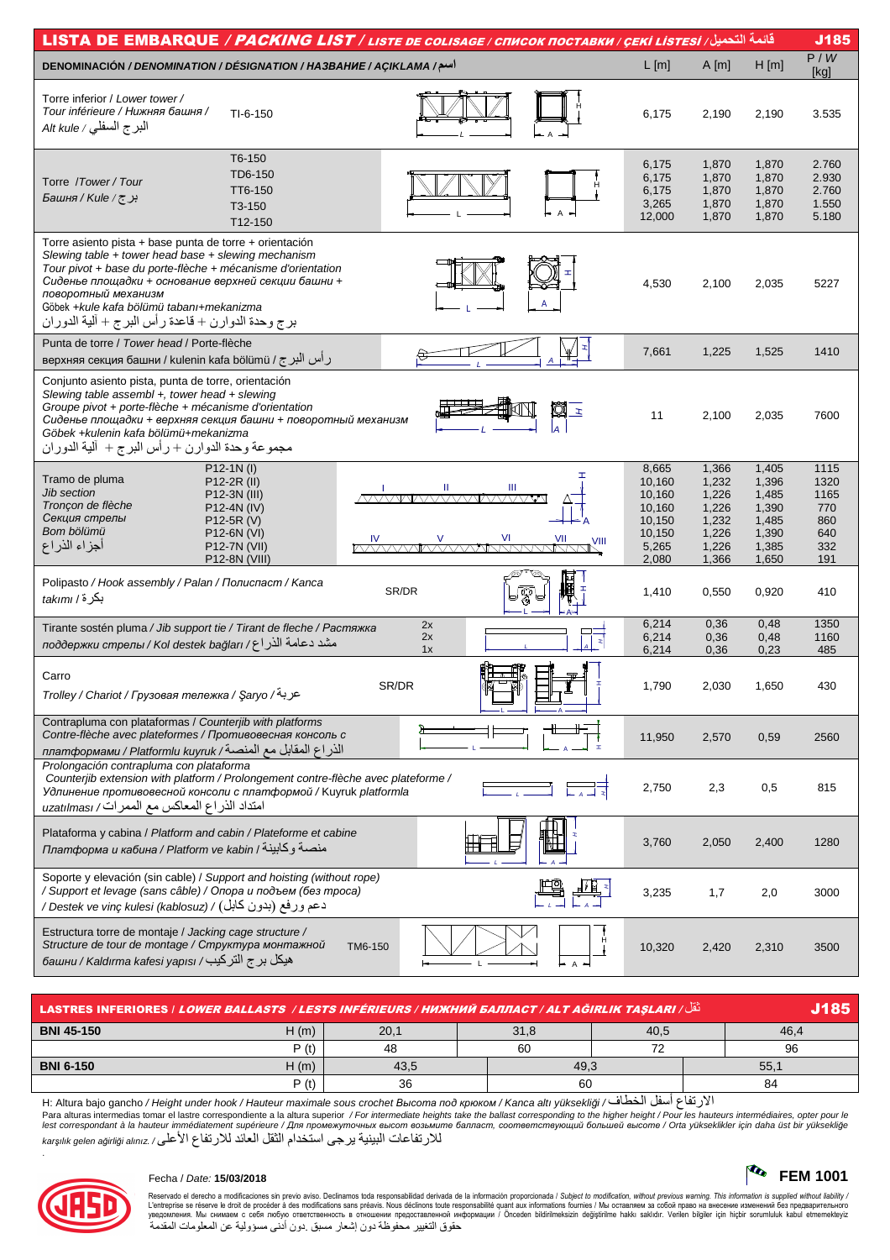| قائمة التحميل/ LISTA DE EMBARQUE / PACKING LIST / LISTE DE COLISAGE / CПИСОК ПОСТАВКИ / ÇEKİ LİSTESİ                                                                                                                                                                                                                                                         |                                                                           |                                                                      |                                                                      |                                                         |  |  |  |
|--------------------------------------------------------------------------------------------------------------------------------------------------------------------------------------------------------------------------------------------------------------------------------------------------------------------------------------------------------------|---------------------------------------------------------------------------|----------------------------------------------------------------------|----------------------------------------------------------------------|---------------------------------------------------------|--|--|--|
| اسم/ DENOMINACIÓN / DENOMINATION / DÉSIGNATION / HA3BAHUE / AÇIKLAMA                                                                                                                                                                                                                                                                                         | $L$ [m]                                                                   | $A$ [m]                                                              | H[m]                                                                 | P/W<br>[kg]                                             |  |  |  |
| Torre inferior / Lower tower /<br>Tour inférieure / Нижняя башня /<br>$TI-6-150$<br>البرج السفلي / Alt kule                                                                                                                                                                                                                                                  | 6,175                                                                     | 2,190                                                                | 2,190                                                                | 3.535                                                   |  |  |  |
| T6-150<br>TD6-150<br>Torre /Tower/Tour<br>TT6-150<br>برج/Kule/ج<br>T3-150<br>T12-150                                                                                                                                                                                                                                                                         | 6,175<br>6,175<br>6,175<br>3,265<br>12,000                                | 1,870<br>1,870<br>1,870<br>1,870<br>1,870                            | 1,870<br>1,870<br>1,870<br>1,870<br>1,870                            | 2.760<br>2.930<br>2.760<br>1.550<br>5.180               |  |  |  |
| Torre asiento pista + base punta de torre + orientación<br>Slewing table + tower head base + slewing mechanism<br>Tour pivot + base du porte-flèche + mécanisme d'orientation<br>Сиденье площадки + основание верхней секции башни +<br>поворотный механизм<br>Göbek +kule kafa bölümü tabanı+mekanizma<br>برج وحدة الدوارن + قاعدة رأس البرج + ألية الدوران | 4,530                                                                     | 2,100                                                                | 2,035                                                                | 5227                                                    |  |  |  |
| Punta de torre / Tower head / Porte-flèche<br>ر أس البرج / верхняя секция башни / kulenin kafa bölümü                                                                                                                                                                                                                                                        | 7,661                                                                     | 1,225                                                                | 1,525                                                                | 1410                                                    |  |  |  |
| Conjunto asiento pista, punta de torre, orientación<br>Slewing table assembl $+$ , tower head $+$ slewing<br>Groupe pivot + porte-flèche + mécanisme d'orientation<br>q<br>$\mathbf{r}$<br>Сиденье площадки + верхняя секция башни + поворотный механизм<br>Göbek +kulenin kafa bölümü+mekanizma<br>مجموعة وحدة الدوارن + رأس البرج + ألية الدوران           | 11                                                                        | 2,100                                                                | 2,035                                                                | 7600                                                    |  |  |  |
| P12-1N(I)<br>Tramo de pluma<br>P12-2R (II)<br>Ш<br>Ш<br>Jib section<br>P12-3N (III)<br><b>AMMAAAAAMAAAAAA</b><br>Tronçon de flèche<br>P12-4N (IV)<br>Секция стрелы<br>P12-5R (V)<br>Bom bölümü<br>P12-6N (VI)<br>أجزاء الذراع<br>P12-7N (VII)<br>P12-8N (VIII)                                                                                               | 8,665<br>10,160<br>10,160<br>10,160<br>10,150<br>10,150<br>5,265<br>2,080 | 1,366<br>1,232<br>1,226<br>1,226<br>1,232<br>1,226<br>1,226<br>1,366 | 1,405<br>1,396<br>1,485<br>1,390<br>1,485<br>1,390<br>1,385<br>1,650 | 1115<br>1320<br>1165<br>770<br>860<br>640<br>332<br>191 |  |  |  |
| Polipasto / Hook assembly / Palan / Полиспаст / Kanca<br>SR/DR<br>بكرة/ takımı                                                                                                                                                                                                                                                                               | 1,410                                                                     | 0,550                                                                | 0,920                                                                | 410                                                     |  |  |  |
| 2x<br>Tirante sostén pluma / Jib support tie / Tirant de fleche / Растяжка<br>2x<br>Þ<br>مشد دعامة الذراع/ поддержки стрелы / Коl destek bağları<br>1x                                                                                                                                                                                                       | 6,214<br>6,214<br>6,214                                                   | 0,36<br>0,36<br>0,36                                                 | 0,48<br>0,48<br>0,23                                                 | 1350<br>1160<br>485                                     |  |  |  |
| Carro<br>SR/DR<br>عربة/ Trolley / Chariot / Грузовая тележка / Şaryo                                                                                                                                                                                                                                                                                         | 1,790                                                                     | 2,030                                                                | 1,650                                                                | 430                                                     |  |  |  |
| Contrapluma con plataformas / Counterjib with platforms<br>Contre-flèche avec plateformes / Противовесная консоль с<br>الذراع المقابل مع المنصة/ платформами / Platformlu kuyruk                                                                                                                                                                             | 11,950                                                                    | 2,570                                                                | 0,59                                                                 | 2560                                                    |  |  |  |
| Prolongación contrapluma con plataforma<br>Counterjib extension with platform / Prolongement contre-flèche avec plateforme /<br>Удлинение противовесной консоли с платформой / Kuyruk platformla<br>امتداد الذراع المعاكس مع الممرات/ uzatılması                                                                                                             | 2,750                                                                     | 2,3                                                                  | 0,5                                                                  | 815                                                     |  |  |  |
| Plataforma y cabina / Platform and cabin / Plateforme et cabine<br>Платформа и кабина / Platform ve kabin / منصبة وكابينة                                                                                                                                                                                                                                    | 3,760                                                                     | 2,050                                                                | 2,400                                                                | 1280                                                    |  |  |  |
| Soporte y elevación (sin cable) / Support and hoisting (without rope)<br>/ Support et levage (sans câble) / Опора и подъем (без троса)<br>دعم ورفع (بدون كابل) / Destek ve vinç kulesi (kablosuz) /                                                                                                                                                          | 3,235                                                                     | 1,7                                                                  | 2,0                                                                  | 3000                                                    |  |  |  |
| Estructura torre de montaje / Jacking cage structure /<br>Structure de tour de montage / Структура монтажной<br>TM6-150<br>башни / Kaldırma kafesi yapısı / فبكل برج التركيب                                                                                                                                                                                 | 10,320                                                                    | 2,420                                                                | 2,310                                                                | 3500                                                    |  |  |  |

| نَّقَل/ LASTRES INFERIORES   LOWER BALLASTS  / LESTS INFÉRIEURS / НИЖНИЙ БАЛЛАСТ / ALT AĞIRLIK TAŞLARI |      |      |      |   |  |      |  |
|--------------------------------------------------------------------------------------------------------|------|------|------|---|--|------|--|
| <b>BNI 45-150</b>                                                                                      | H(m) | 20,1 | 31,8 |   |  | 46.4 |  |
|                                                                                                        | P(t) | 48   | 60   | ⇁ |  | 96   |  |
| <b>BNI 6-150</b>                                                                                       | H(m) | 43.5 | 49.3 |   |  | 55.7 |  |
|                                                                                                        | P(t) | 36   | 60   |   |  | 84   |  |
| .<br>.                                                                                                 |      |      |      |   |  |      |  |

الارتفاع أسفل الخطاف/ H: Altura bajo gancho / Height under hook / Hauteur maximale sous crochet *Высота под крюком / Kanca altı yüksekliği* / Para alturas intermedias tomar el lastre correspondiente a la altura superior / For intermediate heights take the ballast corresponding to the higher height / Pour les hauteurs intermédiaires, opter pour le<br>lest correspon للارتفاعات البينية يرجى استخدام الثقل العائد للارتفاع الأعلى/ karşılık gelen ağirliği alınız



.

## Fecha / Date: **15/03/2018 FEM 1001**

Reservado el derecho a modificaciones sin previo aviso. Declinamos toda responsabilidad derivada de la información proporcionada / Subjec*t to modification, without previous warning. This information is supplied without*